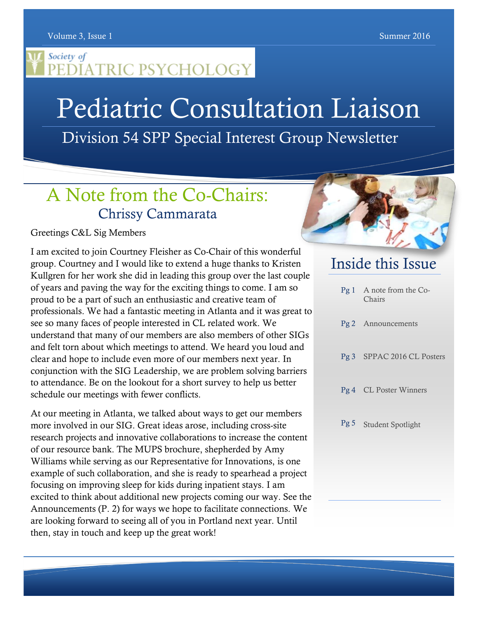Volume 3, Issue 1 Summer 2016

#### Society of PEĎĬATRIC PSYCHOLOGY

# Pediatric Consultation Liaison

Division 54 SPP Special Interest Group Newsletter

# A Note from the Co-Chairs: Chrissy Cammarata

#### Greetings C&L Sig Members

I am excited to join Courtney Fleisher as Co-Chair of this wonderful group. Courtney and I would like to extend a huge thanks to Kristen Kullgren for her work she did in leading this group over the last couple of years and paving the way for the exciting things to come. I am so proud to be a part of such an enthusiastic and creative team of professionals. We had a fantastic meeting in Atlanta and it was great to see so many faces of people interested in CL related work. We understand that many of our members are also members of other SIGs and felt torn about which meetings to attend. We heard you loud and clear and hope to include even more of our members next year. In conjunction with the SIG Leadership, we are problem solving barriers to attendance. Be on the lookout for a short survey to help us better schedule our meetings with fewer conflicts.

At our meeting in Atlanta, we talked about ways to get our members more involved in our SIG. Great ideas arose, including cross-site research projects and innovative collaborations to increase the content of our resource bank. The MUPS brochure, shepherded by Amy Williams while serving as our Representative for Innovations, is one example of such collaboration, and she is ready to spearhead a project focusing on improving sleep for kids during inpatient stays. I am excited to think about additional new projects coming our way. See the Announcements (P. 2) for ways we hope to facilitate connections. We are looking forward to seeing all of you in Portland next year. Until then, stay in touch and keep up the great work!



### Inside this Issue

| Pg 1 A note from the Co-<br>Chairs |
|------------------------------------|
| Pg 2 Announcements                 |
| Pg 3 SPPAC 2016 CL Posters         |
| Pg 4 CL Poster Winners             |
| Pg 5 Student Spotlight             |
|                                    |
|                                    |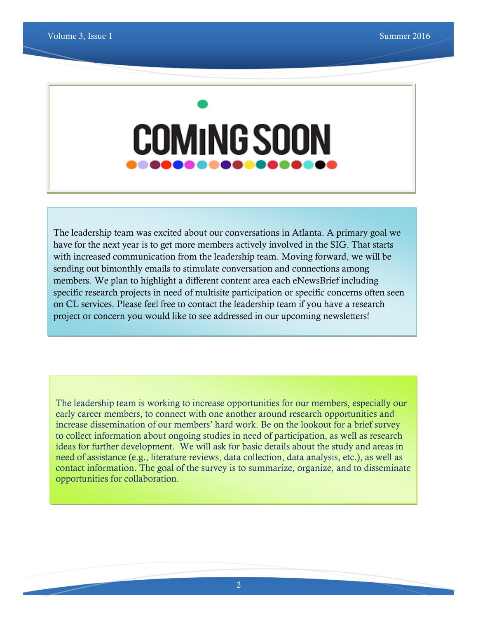# **COMING SOON**

The leadership team was excited about our conversations in Atlanta. A primary goal we have for the next year is to get more members actively involved in the SIG. That starts with increased communication from the leadership team. Moving forward, we will be sending out bimonthly emails to stimulate conversation and connections among members. We plan to highlight a different content area each eNewsBrief including specific research projects in need of multisite participation or specific concerns often seen on CL services. Please feel free to contact the leadership team if you have a research project or concern you would like to see addressed in our upcoming newsletters!

The leadership team is working to increase opportunities for our members, especially our early career members, to connect with one another around research opportunities and increase dissemination of our members' hard work. Be on the lookout for a brief survey to collect information about ongoing studies in need of participation, as well as research ideas for further development. We will ask for basic details about the study and areas in need of assistance (e.g., literature reviews, data collection, data analysis, etc.), as well as contact information. The goal of the survey is to summarize, organize, and to disseminate opportunities for collaboration.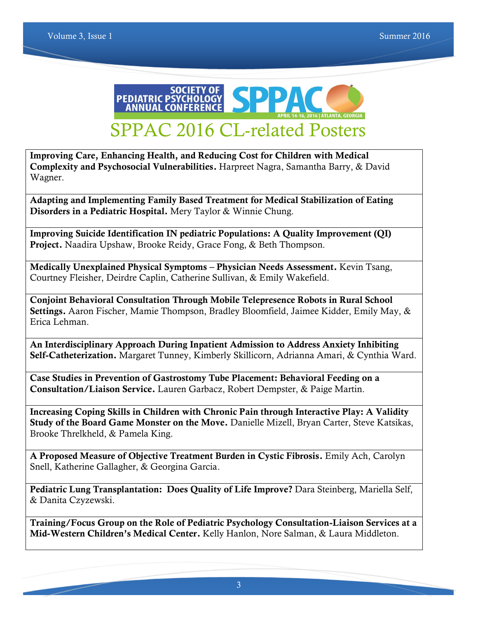

**Improving Care, Enhancing Health, and Reducing Cost for Children with Medical Complexity and Psychosocial Vulnerabilities.** Harpreet Nagra, Samantha Barry, & David Wagner.

**Adapting and Implementing Family Based Treatment for Medical Stabilization of Eating Disorders in a Pediatric Hospital.** Mery Taylor & Winnie Chung.

**Improving Suicide Identification IN pediatric Populations: A Quality Improvement (QI) Project.** Naadira Upshaw, Brooke Reidy, Grace Fong, & Beth Thompson.

**Medically Unexplained Physical Symptoms – Physician Needs Assessment.** Kevin Tsang, Courtney Fleisher, Deirdre Caplin, Catherine Sullivan, & Emily Wakefield.

**Conjoint Behavioral Consultation Through Mobile Telepresence Robots in Rural School Settings.** Aaron Fischer, Mamie Thompson, Bradley Bloomfield, Jaimee Kidder, Emily May, & Erica Lehman.

**An Interdisciplinary Approach During Inpatient Admission to Address Anxiety Inhibiting Self-Catheterization.** Margaret Tunney, Kimberly Skillicorn, Adrianna Amari, & Cynthia Ward.

**Case Studies in Prevention of Gastrostomy Tube Placement: Behavioral Feeding on a Consultation/Liaison Service.** Lauren Garbacz, Robert Dempster, & Paige Martin.

**Increasing Coping Skills in Children with Chronic Pain through Interactive Play: A Validity Study of the Board Game Monster on the Move.** Danielle Mizell, Bryan Carter, Steve Katsikas, Brooke Threlkheld, & Pamela King.

**A Proposed Measure of Objective Treatment Burden in Cystic Fibrosis.** Emily Ach, Carolyn Snell, Katherine Gallagher, & Georgina Garcia.

**Pediatric Lung Transplantation: Does Quality of Life Improve?** Dara Steinberg, Mariella Self, & Danita Czyzewski.

**Training/Focus Group on the Role of Pediatric Psychology Consultation-Liaison Services at a Mid-Western Children's Medical Center.** Kelly Hanlon, Nore Salman, & Laura Middleton.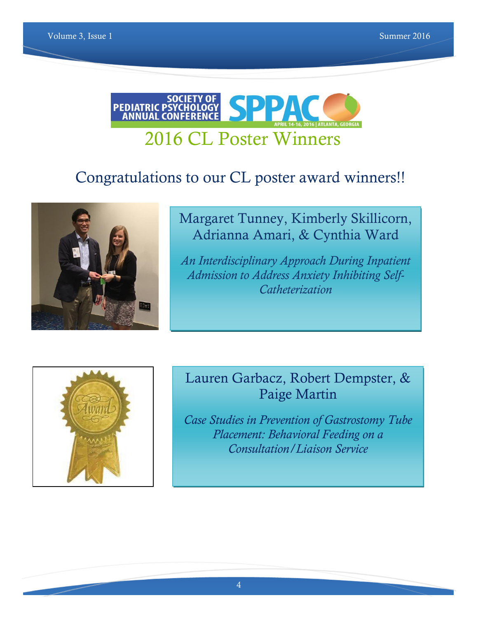

# Congratulations to our CL poster award winners!!



#### Margaret Tunney, Kimberly Skillicorn, Adrianna Amari, & Cynthia Ward

*An Interdisciplinary Approach During Inpatient Admission to Address Anxiety Inhibiting Self-Catheterization*



#### Lauren Garbacz, Robert Dempster, & Paige Martin

*Case Studies in Prevention of Gastrostomy Tube Placement: Behavioral Feeding on a Consultation/Liaison Service*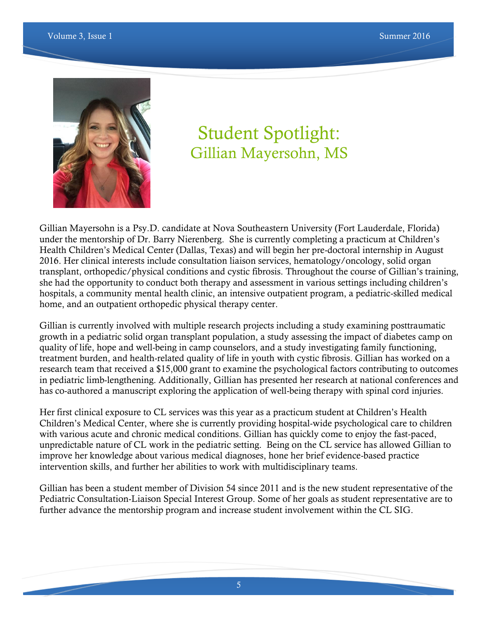

# Student Spotlight: Gillian Mayersohn, MS

Gillian Mayersohn is a Psy.D. candidate at Nova Southeastern University (Fort Lauderdale, Florida) under the mentorship of Dr. Barry Nierenberg. She is currently completing a practicum at Children's Health Children's Medical Center (Dallas, Texas) and will begin her pre-doctoral internship in August 2016. Her clinical interests include consultation liaison services, hematology/oncology, solid organ transplant, orthopedic/physical conditions and cystic fibrosis. Throughout the course of Gillian's training, she had the opportunity to conduct both therapy and assessment in various settings including children's hospitals, a community mental health clinic, an intensive outpatient program, a pediatric-skilled medical home, and an outpatient orthopedic physical therapy center.

Gillian is currently involved with multiple research projects including a study examining posttraumatic growth in a pediatric solid organ transplant population, a study assessing the impact of diabetes camp on quality of life, hope and well-being in camp counselors, and a study investigating family functioning, treatment burden, and health-related quality of life in youth with cystic fibrosis. Gillian has worked on a research team that received a \$15,000 grant to examine the psychological factors contributing to outcomes in pediatric limb-lengthening. Additionally, Gillian has presented her research at national conferences and has co-authored a manuscript exploring the application of well-being therapy with spinal cord injuries.

Her first clinical exposure to CL services was this year as a practicum student at Children's Health Children's Medical Center, where she is currently providing hospital-wide psychological care to children with various acute and chronic medical conditions. Gillian has quickly come to enjoy the fast-paced, unpredictable nature of CL work in the pediatric setting. Being on the CL service has allowed Gillian to improve her knowledge about various medical diagnoses, hone her brief evidence-based practice intervention skills, and further her abilities to work with multidisciplinary teams.

Gillian has been a student member of Division 54 since 2011 and is the new student representative of the Pediatric Consultation-Liaison Special Interest Group. Some of her goals as student representative are to further advance the mentorship program and increase student involvement within the CL SIG.